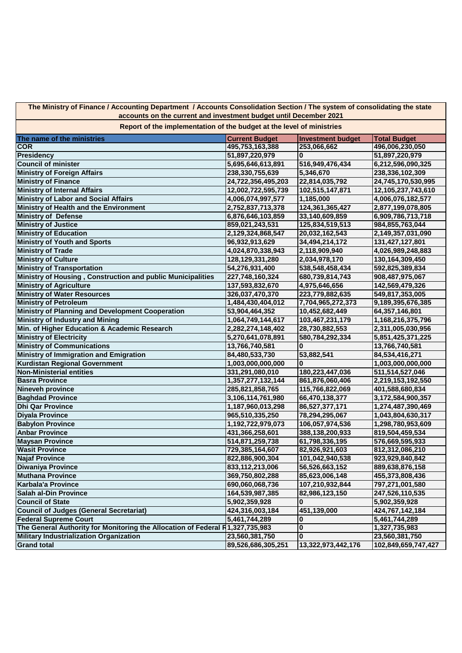**The Ministry of Finance / Accounting Department / Accounts Consolidation Section / The system of consolidating the state accounts on the current and investment budget until December 2021**

**Report of the implementation of the budget at the level of ministries**

| The name of the ministries                                                    | <b>Current Budget</b> | <b>Investment budget</b> | <b>Total Budget</b> |
|-------------------------------------------------------------------------------|-----------------------|--------------------------|---------------------|
| <b>COR</b>                                                                    | 495,753,163,388       | 253,066,662              | 496,006,230,050     |
| <b>Presidency</b>                                                             | 51,897,220,979        | $\bf{0}$                 | 51,897,220,979      |
| <b>Council of minister</b>                                                    | 5,695,646,613,891     | 516,949,476,434          | 6,212,596,090,325   |
| <b>Ministry of Foreign Affairs</b>                                            | 238,330,755,639       | 5,346,670                | 238,336,102,309     |
| <b>Ministry of Finance</b>                                                    | 24,722,356,495,203    | 22,814,035,792           | 24,745,170,530,995  |
| <b>Ministry of Internal Affairs</b>                                           | 12,002,722,595,739    | 102,515,147,871          | 12,105,237,743,610  |
| <b>Ministry of Labor and Social Affairs</b>                                   | 4,006,074,997,577     | 1,185,000                | 4,006,076,182,577   |
| Ministry of Health and the Environment                                        | 2,752,837,713,378     | 124,361,365,427          | 2,877,199,078,805   |
| <b>Ministry of Defense</b>                                                    | 6,876,646,103,859     | 33,140,609,859           | 6,909,786,713,718   |
| <b>Ministry of Justice</b>                                                    | 859,021,243,531       | 125,834,519,513          | 984,855,763,044     |
| <b>Ministry of Education</b>                                                  | 2,129,324,868,547     | 20,032,162,543           | 2,149,357,031,090   |
| <b>Ministry of Youth and Sports</b>                                           | 96,932,913,629        | 34,494,214,172           | 131,427,127,801     |
| <b>Ministry of Trade</b>                                                      | 4,024,870,338,943     | 2,118,909,940            | 4,026,989,248,883   |
| <b>Ministry of Culture</b>                                                    | 128,129,331,280       | 2,034,978,170            | 130,164,309,450     |
| <b>Ministry of Transportation</b>                                             | 54,276,931,400        | 538,548,458,434          | 592,825,389,834     |
| Ministry of Housing, Construction and public Municipalities                   | 227,748,160,324       | 680,739,814,743          | 908,487,975,067     |
| <b>Ministry of Agriculture</b>                                                | 137,593,832,670       | 4,975,646,656            | 142,569,479,326     |
| <b>Ministry of Water Resources</b>                                            | 326,037,470,370       | 223,779,882,635          | 549,817,353,005     |
| <b>Ministry of Petroleum</b>                                                  | 1,484,430,404,012     | 7,704,965,272,373        | 9,189,395,676,385   |
| Ministry of Planning and Development Cooperation                              | 53,904,464,352        | 10,452,682,449           | 64,357,146,801      |
| <b>Ministry of Industry and Mining</b>                                        | 1,064,749,144,617     | 103,467,231,179          | 1,168,216,375,796   |
| Min. of Higher Education & Academic Research                                  | 2,282,274,148,402     | 28,730,882,553           | 2,311,005,030,956   |
| <b>Ministry of Electricity</b>                                                | 5,270,641,078,891     | 580,784,292,334          | 5,851,425,371,225   |
| <b>Ministry of Communications</b>                                             | 13,766,740,581        | $\bf{0}$                 | 13,766,740,581      |
| Ministry of Immigration and Emigration                                        | 84,480,533,730        | 53,882,541               | 84,534,416,271      |
| <b>Kurdistan Regional Government</b>                                          | 1,003,000,000,000     | 0                        | 1,003,000,000,000   |
| <b>Non-Ministerial entities</b>                                               | 331,291,080,010       | 180,223,447,036          | 511,514,527,046     |
| <b>Basra Province</b>                                                         | 1,357,277,132,144     | 861,876,060,406          | 2,219,153,192,550   |
| <b>Nineveh province</b>                                                       | 285,821,858,765       | 115,766,822,069          | 401,588,680,834     |
| <b>Baghdad Province</b>                                                       | 3,106,114,761,980     | 66,470,138,377           | 3,172,584,900,357   |
| <b>Dhi Qar Province</b>                                                       | 1,187,960,013,298     | 86,527,377,171           | 1,274,487,390,469   |
| <b>Diyala Province</b>                                                        | 965,510,335,250       | 78,294,295,067           | 1,043,804,630,317   |
| <b>Babylon Province</b>                                                       | 1,192,722,979,073     | 106,057,974,536          | 1,298,780,953,609   |
| <b>Anbar Province</b>                                                         | 431,366,258,601       | 388,138,200,933          | 819,504,459,534     |
| <b>Maysan Province</b>                                                        | 514,871,259,738       | 61,798,336,195           | 576,669,595,933     |
| <b>Wasit Province</b>                                                         | 729,385,164,607       | 82,926,921,603           | 812,312,086,210     |
| <b>Najaf Province</b>                                                         | 822,886,900,304       | 101,042,940,538          | 923,929,840,842     |
| <b>Diwaniya Province</b>                                                      | 833,112,213,006       | 56,526,663,152           | 889,638,876,158     |
| <b>Muthana Province</b>                                                       | 369,750,802,288       | 85,623,006,148           | 455,373,808,436     |
| <b>Karbala'a Province</b>                                                     | 690,060,068,736       | 107,210,932,844          | 797,271,001,580     |
| <b>Salah al-Din Province</b>                                                  | 164,539,987,385       | 82,986,123,150           | 247,526,110,535     |
| <b>Council of State</b>                                                       | 5,902,359,928         | 0                        | 5,902,359,928       |
| <b>Council of Judges (General Secretariat)</b>                                | 424,316,003,184       | 451,139,000              | 424,767,142,184     |
| <b>Federal Supreme Court</b>                                                  | 5,461,744,289         | 0                        | 5,461,744,289       |
| The General Authority for Monitoring the Allocation of Federal R1,327,735,983 |                       | 0                        | 1,327,735,983       |
| <b>Military Industrialization Organization</b>                                | 23,560,381,750        | $\bf{0}$                 | 23,560,381,750      |
| <b>Grand total</b>                                                            | 89,526,686,305,251    | 13,322,973,442,176       | 102,849,659,747,427 |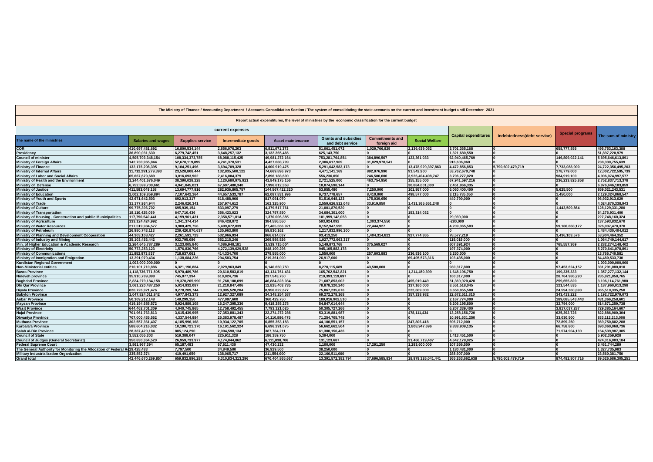| The Ministry of Finance / Accounting Department / Accounts Consolidation Section / The system of consolidating the state accounts on the current and investment budget until December 2021 |                           |                         |                    |                          |                                                 |                                       |                       |                             |                            |                 |                     |
|--------------------------------------------------------------------------------------------------------------------------------------------------------------------------------------------|---------------------------|-------------------------|--------------------|--------------------------|-------------------------------------------------|---------------------------------------|-----------------------|-----------------------------|----------------------------|-----------------|---------------------|
| Report actual expenditures, the level of ministries by the economic classification for the current budget                                                                                  |                           |                         |                    |                          |                                                 |                                       |                       |                             |                            |                 |                     |
| current expenses                                                                                                                                                                           |                           |                         |                    |                          | <b>Special programs</b>                         |                                       |                       |                             |                            |                 |                     |
| The name of the ministries                                                                                                                                                                 | <b>Salaries and wages</b> | <b>Supplies service</b> | Intermediate goods | <b>Asset maintenance</b> | <b>Grants and subsidies</b><br>and debt service | <b>Commitments and</b><br>foreign aid | <b>Social Welfare</b> | <b>Capital expenditures</b> | indebtedness(debt service) |                 | The sum of ministry |
| <b>COR</b>                                                                                                                                                                                 | 410,697,481,692           | 16,800,534,144          | 2,856,076,203      | 6.811.071.373            | 51,061,451,072                                  | 1,029,766,829                         | 2.136.639.052         | 3,701,365,168               |                            | 658.777.855     | 495,753,163,388     |
| Presidency                                                                                                                                                                                 | 36,890,031,630            | 6,279,742,451           | 3,648,257,132      | 3,132,365,466            | 625,143,750                                     |                                       |                       | 1,321,680,550               |                            |                 | 51,897,220,979      |
| <b>Council of minister</b>                                                                                                                                                                 | 4,505,703,348,154         | 108,334,373,785         | 68,088,115,425     | 49,981,272,164           | 753,281,764,854                                 | 384.890.567                           | 123.361.033           | 62,940,465,769              |                            | 146,809,022,141 | 5,695,646,613,891   |
| <b>Ministry of Foreign Affairs</b>                                                                                                                                                         | 142,730,965,844           | 52,678,119,895          | 4,241,378,531      | 4,427,088,799            | 2,306,617,969                                   | 31.029.978.541                        |                       | 916.606.060                 |                            |                 | 238,330,755,639     |
| <b>Ministry of Finance</b>                                                                                                                                                                 | 132,176,208,395           | 9,104,251,496           | 3,694,709,328      | 4,000,919,475            | 5,291,642,583,173                               |                                       | 13,478,929,397,863    | 4,472,856,853               | 5,790,602,479,719          | 7,733,088,900   | 24,722,356,495,203  |
| <b>Ministry of Internal Affairs</b>                                                                                                                                                        | 11.712.291.279.393        | 23,528,808,444          | 132,835,500,122    | 74,669,896,973           | 4,471,141,169                                   | 892.976.990                           | 91.542.900            | 53.762.670.748              |                            | 178.779.000     | 12,002,722,595,739  |
| Ministry of Labor and Social Affairs                                                                                                                                                       | 65.667.679.689            | 3,016,693,902           | 2,416,004,379      | 2,896,188,690            | 556,236,050                                     | 246.500.000                           | 3.926.494.498.747     | 3,796,277,020               |                            | 984,919,100     | 4,006,074,997,577   |
| Ministry of Health and the Environment                                                                                                                                                     | 1,244,401,676,049         | 38,390,028,228          | 1.120.680.975.921  | 41,849,175,156           | 2,721,525,000                                   | 463.754.950                           | 155,155,000           | 67.941.597.216              |                            | 236.233.825.858 | 2,752,837,713,378   |
| <b>Ministry of Defense</b>                                                                                                                                                                 | 6,752,599,700,661         | 4,941,845,021           | 67,697,480,340     | 7,996,612,358            | 10.074.598.144                                  |                                       | 30,884,001,000        | 2.451.866.335               |                            |                 | 6,876,646,103,859   |
| <b>Ministry of Justice</b>                                                                                                                                                                 | 411,593,049,158           | 13,694,777,916          | 282.936.805.757    | 144,567,422,320          | 53,955,480                                      | 7.250.000                             | 101,957,000           | 6.060.400.400               |                            | 5.625.500       | 859,021,243,531     |
| <b>Ministry of Education</b>                                                                                                                                                               | 2,002,109,859,894         | 7,107,642,164           | 44,657,533,787     | 62,087,831,996           | 9,737,778,657                                   | 8,410,000                             | 498,577,000           | 3,115,785,050               |                            | 1,450,000       | 2,129,324,868,547   |
| <b>Ministry of Youth and Sports</b>                                                                                                                                                        | 42,671,642,503            | 692,913,317             | 618,488,966        | 817,091,070              | 51,516,948,123                                  | 175,039,650                           |                       | 440,790,000                 |                            |                 | 96,932,913,629      |
| <b>Ministry of Trade</b>                                                                                                                                                                   | 31.177.934.944            | 2,246,020,341           | 257.974.612        | 162.325.900              | 2.559.626.512.048                               | 33.919.850                            | 1.431.365.651.248     |                             |                            |                 | 4,024,870,338,943   |
| <b>Ministry of Culture</b>                                                                                                                                                                 | 99,775,396,702            | 695,939,154             | 833,097,279        | 4,379,517,761            | 21,001,870,520                                  |                                       |                       |                             |                            | 1,443,509,864   | 128, 129, 331, 280  |
| <b>Ministry of Transportation</b>                                                                                                                                                          | 18,110,425,059            | 647,710,436             | 356,423,023        | 324,757,850              | 34,684,301,000                                  |                                       | 153,314,032           |                             |                            |                 | 54,276,931,400      |
| Ministry of Housing, Construction and public Municipalities                                                                                                                                | 117,790,540,441           | 4,199,961,431           | 2,358,571,014      | 1,370,006,385            | 101,999,142,053                                 |                                       |                       | 29,939,000                  |                            |                 | 227,748,160,324     |
| <b>Ministry of Agriculture</b>                                                                                                                                                             | 133,124,424,992           | 1,341,374,414           | 846,428,072        | 384,586,550              | 593,924,092                                     | 1,303,374,550                         |                       | $-280.000$                  |                            |                 | 137,593,832,670     |
| <b>Ministry of Water Resources</b>                                                                                                                                                         | 217,519,984,577           | 3,980,429,756           | 5,499,872,839      | 27,465,556,921           | 8,152,947,595                                   | 22,444,927                            |                       | 4,209,365,583               |                            | 59,186,868,172  | 326,037,470,370     |
| <b>Ministry of Petroleum</b>                                                                                                                                                               | 26,980,743,113            | 239,420,870,637         | 135,963,800        | 59,830,162               | 1,217,832,996,300                               |                                       |                       |                             |                            |                 | 1,484,430,404,012   |
| Ministry of Planning and Development Cooperation                                                                                                                                           | 44,303,108,427            | 2,261,591,723           | 532,966,934        | 866,614,037              | 93,413,250                                      | 1,404,314,821                         | 927,774,365           | 78,577,219                  |                            | 3,436,103,576   | 53,904,464,352      |
| Ministry of Industry and Mining                                                                                                                                                            | 35,103,453,442            | 932,795,086             | 552,215,246        | 269,598,526              | 1,027,772,063,317                               |                                       |                       | 119,019,000                 |                            |                 | 1,064,749,144,617   |
| Min. of Higher Education & Academic Research                                                                                                                                               | 2,264,645,787,289         | 3,123,005,840           | 4,086,948,181      | 3,519,715,004            | 5,149,873,768                                   | 375,569,027                           |                       | 607,691,924                 |                            | 765,557,369     | 2,282,274,148,402   |
| <b>Ministry of Electricity</b>                                                                                                                                                             | 50,773,253,123            | 1,576,830,766           | 4,272,139,629,528  | 848,109,296              | 945,105,882,178                                 |                                       |                       | 197,374,000                 |                            |                 | 5,270,641,078,891   |
| <b>Ministry of Communications</b>                                                                                                                                                          | 11,852,973,837            | 718,637,061             | 414,334,700        | 279,555,000              | 1,550,000                                       | 257.603.883                           | 236,836,100           | 5,250,000                   |                            |                 | 13,766,740,581      |
| Ministry of Immigration and Emigration                                                                                                                                                     | 13,291,979,434            | 1,138,684,226           | 294.583.754        | 219,361,000              | 26,917,000                                      |                                       | 69,405,573,316        | 103,435,000                 |                            |                 | 84,480,533,730      |
| <b>Kurdistan Regional Government</b>                                                                                                                                                       | 1.003.000.000.000         |                         |                    |                          |                                                 |                                       |                       |                             |                            |                 | 1.003.000.000.000   |
| <b>Non-Ministerial entities</b>                                                                                                                                                            | 210,101,710,886           | 6,321,196,884           | 2,029,963,849      | 6,140,650,750            | 8,270,115,689                                   | 43.500.000                            |                       | 930.317.800                 |                            | 97,453,624,152  | 331,291,080,010     |
| <b>Basra Province</b>                                                                                                                                                                      | 1,118,736,771,805         | 5,970,489,786           | 20,610,583,819     | 43,134,761,431           | 165,762,542,821                                 |                                       | 1.214.450.399         | 1.648.196.750               |                            | 199.335.333     | 1,357,277,132,144   |
| Nineveh province                                                                                                                                                                           | 35.910.789.898            | 745,077,394             | 610.024.736        | 237,543,750              | 219,393,119,697                                 |                                       |                       | 160.317.000                 |                            | 28,764,986,290  | 285.821.858.765     |
| <b>Baghdad Province</b>                                                                                                                                                                    | 2,824,279,184,158         | 19,370,205,990          | 91,768,100,099     | 46,884,823,034           | 71,687,853,002                                  | ١n                                    | 495,019,449           | 51,369,920,428              |                            | 259,655,820     | 3,106,114,761,980   |
| <b>Dhi Qar Province</b>                                                                                                                                                                    | 1,061,220,487,250         | 5.014.932.087           | 21.210.847.406     | 12.825.403.735           | 78,878,120,240                                  | ١n                                    | 137.160.000           | 8.551.518.045               |                            | 121.544.535     | 1.187.960.013.298   |
| <b>Divala Province</b>                                                                                                                                                                     | 820.726.921.476           | 9.278.209.744           | 23.005.520.204     | 8.956.622.677            | 75.067.235.676                                  | $\Omega$                              | 222.609.000           | 3.658.855.580               |                            | 24.594.360.893  | 965.510.335.250     |
| <b>Babylon Province</b>                                                                                                                                                                    | 1,047,824,011,842         | 4,977,843,373           | 12,927,327,089     | 34, 348, 254, 587        | 69,272,278,168                                  |                                       | 357,338,982           | 22,672,511,810              |                            | 343,413,222     | 1,192,722,979,073   |
| <b>Anbar Province</b>                                                                                                                                                                      | 50,109,212,148            | 149,299,150             | 477,097,600        | 360,429,750              | 189,016,902,510                                 | ١n                                    |                       | 2,167,774,000               |                            | 189,085,543,443 | 431,366,258,601     |
| <b>Maysan Province</b>                                                                                                                                                                     | 419,194,685,572           | 5,924,889,108           | 16,247,395,336     | 9,418,285,278            | 54,847,014,644                                  | ١n                                    |                       | 9,206,195,800               |                            | 32,794,000      | 514,871,259,738     |
| <b>Wasit Province</b>                                                                                                                                                                      | 644,462,701,309           | 4,040,745,865           | 12,758,492,455     | 7,793,121,025            | 50,305,727,266                                  |                                       |                       | 6,207,339,400               |                            | 3,817,037,287   | 729,385,164,607     |
| <b>Najaf Province</b>                                                                                                                                                                      | 701,961,763,813           | 3,615,439,995           | 27,353,881,343     | 22,274,272,286           | 53,319,881,987                                  | $\Omega$                              | 478,111,434           | 13,258,156,720              |                            | 625,392,726     | 822,886,900,304     |
| <b>Diwaniya Province</b>                                                                                                                                                                   | 707,000,435,562           | 4,337,544,984           | 25,383,978,487     | 14,110,886,475           | 71,254,705,748                                  | $\Omega$                              |                       | 10,991,631,250              |                            | 33,030,500      | 833,112,213,006     |
| <b>Muthana Province</b>                                                                                                                                                                    | 302,557,361,407           | 4,185,996,168           | 10,934,122,705     | 6,855,353,183            | 44,100,551,157                                  |                                       | 347,806,418           | 696,712,000                 |                            | 72,899,250      | 369,750,802,288     |
| Karbala'a Province                                                                                                                                                                         | 588,604,216,032           | 10,190,721,170          | 16, 191, 562, 324  | 6,696,291,075            | 56,662,662,504                                  |                                       | 1,808,947,696         | 9.838.909.135               |                            | 66,758,800      | 690,060,068,736     |
| Salah al-Din Province                                                                                                                                                                      | 28,387,420,184            | 885,124,290             | 2,004,598,134      | 387,784,211              | 61,300,156,436                                  | $\Omega$                              |                       |                             |                            | 71,574,904,130  | 164,539,987,385     |
| <b>Council of State</b>                                                                                                                                                                    | 3,552,055,303             | 519,388,047             | 225,911,328        | 186,159,750              | 5,394,000                                       |                                       |                       | 1,413,451,500               |                            |                 | 5,902,359,928       |
| <b>Council of Judges (General Secretariat)</b>                                                                                                                                             | 350,830,364,520           | 26,959,733,977          | 4.174.044.862      | 6,111,838,706            | 131,123,687                                     |                                       | 31,466,719,407        | 4.642.178.025               |                            |                 | 424,316,003,184     |
| <b>Federal Supreme Court</b>                                                                                                                                                               | 3,861,967,394             | 65,187,483              | 67,611,430         | 47,430,232               | 1,100,000                                       | 17.291.250                            | 1,293,600,000         | 107,556,500                 |                            |                 | 5,461,744,289       |
| The General Authority for Monitoring the Allocation of Federal R(29,428,483                                                                                                                |                           | 7.797.500               | 34.849.500         | 36.929.500               | 38.250.000                                      |                                       |                       | 1.180.481.000               |                            |                 | 1.327.735.983       |
| <b>Military Industrialization Organization</b>                                                                                                                                             | 335.852.374               | 419.491.659             | 138.065.717        | 211,554,000              | 22.166.511.000                                  |                                       |                       | 288.907.000                 |                            |                 | 23,560,381,750      |
| <b>Grand total</b>                                                                                                                                                                         | 42.446.670.269.857        | 659.832.896.288         | 6.310.834.313.296  | 670,404,865,667          | 13.391.572.382.794                              | 37.696.585.834                        | 18.979.326.041.441    | 365.263.662.638             | 5.790.602.479.719          | 874.482.807.716 | 89.526.686.305.251  |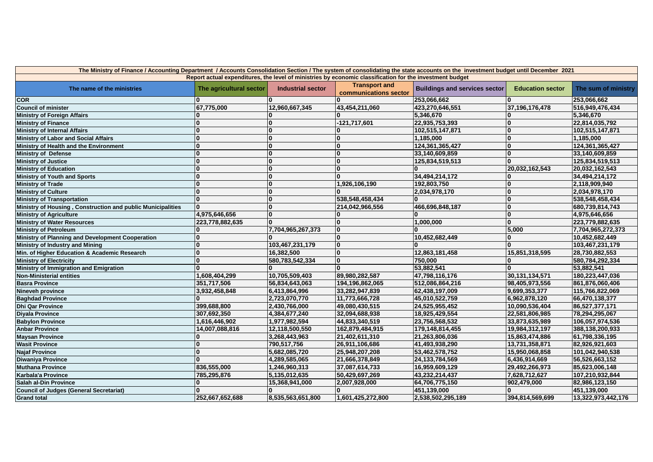| The Ministry of Finance / Accounting Department / Accounts Consolidation Section / The system of consolidating the state accounts on the investment budget until December 2021 |                         |                          |                                               |                                      |                         |                     |
|--------------------------------------------------------------------------------------------------------------------------------------------------------------------------------|-------------------------|--------------------------|-----------------------------------------------|--------------------------------------|-------------------------|---------------------|
| Report actual expenditures, the level of ministries by economic classification for the investment budget                                                                       |                         |                          |                                               |                                      |                         |                     |
| The name of the ministries                                                                                                                                                     | The agricultural sector | <b>Industrial sector</b> | <b>Transport and</b><br>communications sector | <b>Buildings and services sector</b> | <b>Education sector</b> | The sum of ministry |
| <b>COR</b>                                                                                                                                                                     |                         |                          |                                               | 253,066,662                          |                         | 253,066,662         |
| <b>Council of minister</b>                                                                                                                                                     | 67,775,000              | 12,960,667,345           | 43,454,211,060                                | 423,270,646,551                      | 37,196,176,478          | 516,949,476,434     |
| <b>Ministry of Foreign Affairs</b>                                                                                                                                             |                         |                          |                                               | 5,346,670                            |                         | 5,346,670           |
| <b>Ministry of Finance</b>                                                                                                                                                     |                         | $\Omega$                 | -121,717,601                                  | 22,935,753,393                       |                         | 22,814,035,792      |
| <b>Ministry of Internal Affairs</b>                                                                                                                                            |                         | $\bf{0}$                 | $\bf{0}$                                      | 102,515,147,871                      | $\mathbf{0}$            | 102,515,147,871     |
| <b>Ministry of Labor and Social Affairs</b>                                                                                                                                    |                         | 0                        | 0                                             | 1,185,000                            | 0                       | 1,185,000           |
| Ministry of Health and the Environment                                                                                                                                         |                         | $\bf{0}$                 | $\bf{0}$                                      | 124,361,365,427                      |                         | 124,361,365,427     |
| <b>Ministry of Defense</b>                                                                                                                                                     |                         | $\bf{0}$                 | 0                                             | 33,140,609,859                       | $\Omega$                | 33,140,609,859      |
| <b>Ministry of Justice</b>                                                                                                                                                     |                         | 0                        | l0                                            | 125,834,519,513                      | n.                      | 125,834,519,513     |
| <b>Ministry of Education</b>                                                                                                                                                   |                         | $\overline{\mathbf{0}}$  | $\overline{\mathbf{0}}$                       | <b>O</b>                             | 20,032,162,543          | 20,032,162,543      |
| <b>Ministry of Youth and Sports</b>                                                                                                                                            |                         | $\bf{0}$                 | l0                                            | 34,494,214,172                       |                         | 34,494,214,172      |
| <b>Ministry of Trade</b>                                                                                                                                                       |                         | 0                        | 1,926,106,190                                 | 192,803,750                          | $\bf{0}$                | 2,118,909,940       |
| <b>Ministry of Culture</b>                                                                                                                                                     |                         | $\bf{0}$                 | $\bf{0}$                                      | 2,034,978,170                        | $\bf{0}$                | 2,034,978,170       |
| <b>Ministry of Transportation</b>                                                                                                                                              |                         | $\bf{0}$                 | 538,548,458,434                               | $\mathbf{0}$                         | $\Omega$                | 538,548,458,434     |
| Ministry of Housing, Construction and public Municipalities                                                                                                                    |                         | 0                        | 214,042,966,556                               | 466,696,848,187                      | $\bf{0}$                | 680,739,814,743     |
| <b>Ministry of Agriculture</b>                                                                                                                                                 | 4,975,646,656           | 0                        | 0                                             | 0                                    | $\bf{0}$                | 4,975,646,656       |
| <b>Ministry of Water Resources</b>                                                                                                                                             | 223,778,882,635         | $\Omega$                 | l0                                            | 1,000,000                            | $\Omega$                | 223,779,882,635     |
| <b>Ministry of Petroleum</b>                                                                                                                                                   |                         | 7,704,965,267,373        | l0                                            | 10                                   | 5,000                   | 7,704,965,272,373   |
| Ministry of Planning and Development Cooperation                                                                                                                               |                         | $\bf{0}$                 | l0                                            | 10,452,682,449                       | 0                       | 10,452,682,449      |
| Ministry of Industry and Mining                                                                                                                                                |                         | 103,467,231,179          | 0                                             | $\bf{0}$                             |                         | 103,467,231,179     |
| Min. of Higher Education & Academic Research                                                                                                                                   |                         | 16,382,500               | 10                                            | 12,863,181,458                       | 15,851,318,595          | 28,730,882,553      |
| <b>Ministry of Electricity</b>                                                                                                                                                 |                         | 580,783,542,334          | 10                                            | 750,000                              | 0                       | 580,784,292,334     |
| Ministry of Immigration and Emigration                                                                                                                                         |                         |                          | l n                                           | 53,882,541                           | <sup>0</sup>            | 53,882,541          |
| <b>Non-Ministerial entities</b>                                                                                                                                                | 1,608,404,299           | 10,705,509,403           | 89,980,282,587                                | 47,798,116,176                       | 30,131,134,571          | 180,223,447,036     |
| <b>Basra Province</b>                                                                                                                                                          | 351,717,506             | 56,834,643,063           | 194,196,862,065                               | 512,086,864,216                      | 98,405,973,556          | 861,876,060,406     |
| Nineveh province                                                                                                                                                               | 3,932,458,848           | 6,413,864,996            | 33,282,947,839                                | 62,438,197,009                       | 9,699,353,377           | 115,766,822,069     |
| <b>Baghdad Province</b>                                                                                                                                                        |                         | 2,723,070,770            | 11,773,666,728                                | 45,010,522,759                       | 6,962,878,120           | 66,470,138,377      |
| <b>Dhi Qar Province</b>                                                                                                                                                        | 399,688,800             | 2,430,766,000            | 49,080,430,515                                | 24,525,955,452                       | 10,090,536,404          | 86,527,377,171      |
| <b>Divala Province</b>                                                                                                                                                         | 307,692,350             | 4,384,677,240            | 32,094,688,938                                | 18,925,429,554                       | 22,581,806,985          | 78,294,295,067      |
| <b>Babylon Province</b>                                                                                                                                                        | 1,616,446,902           | 1,977,982,594            | 44,833,340,519                                | 23,756,568,532                       | 33,873,635,989          | 106,057,974,536     |
| <b>Anbar Province</b>                                                                                                                                                          | 14,007,088,816          | 12,118,500,550           | 162,879,484,915                               | 179,148,814,455                      | 19,984,312,197          | 388,138,200,933     |
| <b>Maysan Province</b>                                                                                                                                                         |                         | 3,268,443,963            | 21,402,611,310                                | 21,263,806,036                       | 15,863,474,886          | 61,798,336,195      |
| <b>Wasit Province</b>                                                                                                                                                          |                         | 790.517.756              | 26,911,106,686                                | 41.493.938.290                       | 13,731,358,871          | 82,926,921,603      |
| <b>Najaf Province</b>                                                                                                                                                          |                         | 5.682.085.720            | 25,948,207,208                                | 53,462,578,752                       | 15,950,068,858          | 101,042,940,538     |
| <b>Diwaniya Province</b>                                                                                                                                                       |                         | 4,289,585,065            | 21,666,378,849                                | 24, 133, 784, 569                    | 6,436,914,669           | 56,526,663,152      |
| <b>Muthana Province</b>                                                                                                                                                        | 836,555,000             | 1,246,960,313            | 37,087,614,733                                | 16,959,609,129                       | 29,492,266,973          | 85,623,006,148      |
| Karbala'a Province                                                                                                                                                             | 785,295,876             | 5,135,012,635            | 50,429,697,269                                | 43,232,214,437                       | 7,628,712,627           | 107,210,932,844     |
| Salah al-Din Province                                                                                                                                                          |                         | 15,368,941,000           | 2,007,928,000                                 | 64,706,775,150                       | 902,479,000             | 82,986,123,150      |
| <b>Council of Judges (General Secretariat)</b>                                                                                                                                 |                         | n                        | n                                             | 451,139,000                          | $\Omega$                | 451,139,000         |
| <b>Grand total</b>                                                                                                                                                             | 252,667,652,688         | 8,535,563,651,800        | 1,601,425,272,800                             | 2,538,502,295,189                    | 394,814,569,699         | 13,322,973,442,176  |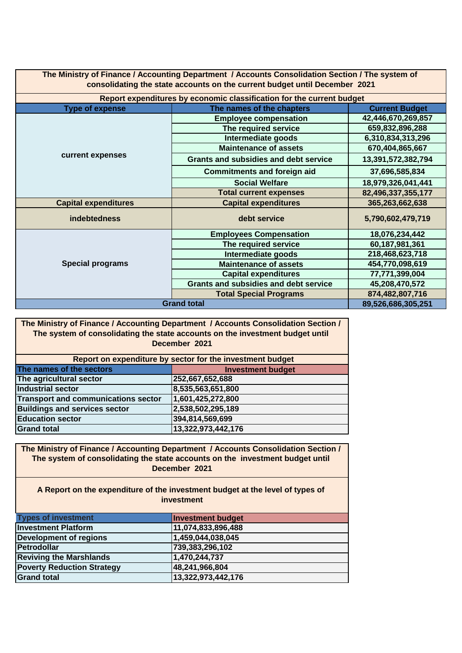| The Ministry of Finance / Accounting Department / Accounts Consolidation Section / The system of<br>consolidating the state accounts on the current budget until December 2021 |                                                                       |                    |  |  |  |  |
|--------------------------------------------------------------------------------------------------------------------------------------------------------------------------------|-----------------------------------------------------------------------|--------------------|--|--|--|--|
|                                                                                                                                                                                | Report expenditures by economic classification for the current budget |                    |  |  |  |  |
| <b>Type of expense</b>                                                                                                                                                         | <b>Current Budget</b><br>The names of the chapters                    |                    |  |  |  |  |
|                                                                                                                                                                                | <b>Employee compensation</b>                                          | 42,446,670,269,857 |  |  |  |  |
|                                                                                                                                                                                | The required service                                                  | 659,832,896,288    |  |  |  |  |
|                                                                                                                                                                                | Intermediate goods                                                    | 6,310,834,313,296  |  |  |  |  |
|                                                                                                                                                                                | <b>Maintenance of assets</b>                                          | 670,404,865,667    |  |  |  |  |
| current expenses                                                                                                                                                               | <b>Grants and subsidies and debt service</b>                          | 13,391,572,382,794 |  |  |  |  |
|                                                                                                                                                                                | <b>Commitments and foreign aid</b>                                    | 37,696,585,834     |  |  |  |  |
|                                                                                                                                                                                | <b>Social Welfare</b>                                                 | 18,979,326,041,441 |  |  |  |  |
|                                                                                                                                                                                | <b>Total current expenses</b>                                         | 82,496,337,355,177 |  |  |  |  |
| <b>Capital expenditures</b>                                                                                                                                                    | <b>Capital expenditures</b>                                           | 365,263,662,638    |  |  |  |  |
| <b>indebtedness</b>                                                                                                                                                            | debt service                                                          | 5,790,602,479,719  |  |  |  |  |
|                                                                                                                                                                                | <b>Employees Compensation</b>                                         | 18,076,234,442     |  |  |  |  |
|                                                                                                                                                                                | The required service                                                  | 60,187,981,361     |  |  |  |  |
| <b>Special programs</b>                                                                                                                                                        | Intermediate goods                                                    | 218,468,623,718    |  |  |  |  |
|                                                                                                                                                                                | <b>Maintenance of assets</b>                                          | 454,770,098,619    |  |  |  |  |
|                                                                                                                                                                                | <b>Capital expenditures</b>                                           | 77,771,399,004     |  |  |  |  |
|                                                                                                                                                                                | <b>Grants and subsidies and debt service</b>                          | 45,208,470,572     |  |  |  |  |
|                                                                                                                                                                                | <b>Total Special Programs</b>                                         | 874,482,807,716    |  |  |  |  |
| <b>Grand total</b>                                                                                                                                                             | 89,526,686,305,251                                                    |                    |  |  |  |  |

**The Ministry of Finance / Accounting Department / Accounts Consolidation Section / The system of consolidating the state accounts on the investment budget until December 2021**

| Report on expenditure by sector for the investment budget |                          |  |  |  |
|-----------------------------------------------------------|--------------------------|--|--|--|
| The names of the sectors                                  | <b>Investment budget</b> |  |  |  |
| The agricultural sector                                   | 252,667,652,688          |  |  |  |
| <b>Industrial sector</b>                                  | 8,535,563,651,800        |  |  |  |
| Transport and communications sector                       | 1,601,425,272,800        |  |  |  |
| <b>Buildings and services sector</b>                      | 2,538,502,295,189        |  |  |  |
| <b>Education sector</b>                                   | 394,814,569,699          |  |  |  |
| <b>Grand total</b>                                        | 13,322,973,442,176       |  |  |  |

**The Ministry of Finance / Accounting Department / Accounts Consolidation Section / The system of consolidating the state accounts on the investment budget until December 2021**

**A Report on the expenditure of the investment budget at the level of types of investment** 

| <b>Types of investment</b>        | <b>Investment budget</b> |
|-----------------------------------|--------------------------|
| <b>Investment Platform</b>        | 11,074,833,896,488       |
| <b>Development of regions</b>     | 1,459,044,038,045        |
| Petrodollar                       | 739,383,296,102          |
| <b>Reviving the Marshlands</b>    | 1,470,244,737            |
| <b>Poverty Reduction Strategy</b> | 48,241,966,804           |
| <b>Grand total</b>                | 13,322,973,442,176       |